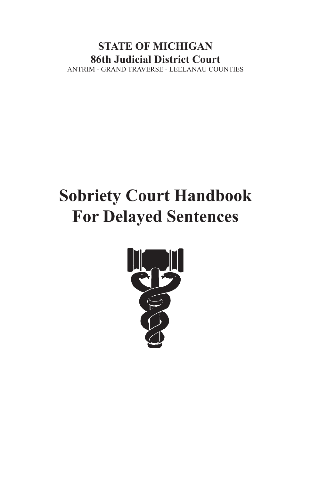# **STATE OF MICHIGAN 86th Judicial District Court** ANTRIM - GRAND TRAVERSE - LEELANAU COUNTIES

# **Sobriety Court Handbook For Delayed Sentences**

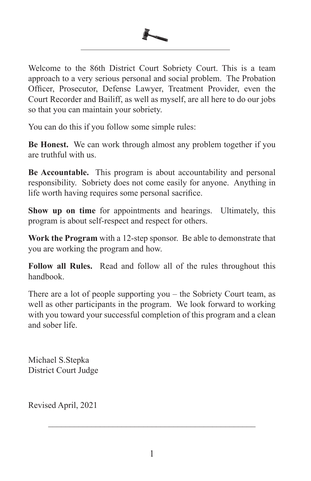

Welcome to the 86th District Court Sobriety Court. This is a team approach to a very serious personal and social problem. The Probation Officer, Prosecutor, Defense Lawyer, Treatment Provider, even the Court Recorder and Bailiff, as well as myself, are all here to do our jobs so that you can maintain your sobriety.

You can do this if you follow some simple rules:

**Be Honest.** We can work through almost any problem together if you are truthful with us.

**Be Accountable.** This program is about accountability and personal responsibility. Sobriety does not come easily for anyone. Anything in life worth having requires some personal sacrifice.

**Show up on time** for appointments and hearings. Ultimately, this program is about self-respect and respect for others.

**Work the Program** with a 12-step sponsor. Be able to demonstrate that you are working the program and how.

**Follow all Rules.** Read and follow all of the rules throughout this handbook.

There are a lot of people supporting you – the Sobriety Court team, as well as other participants in the program. We look forward to working with you toward your successful completion of this program and a clean and sober life.

Michael S.Stepka District Court Judge

Revised April, 2021

\_\_\_\_\_\_\_\_\_\_\_\_\_\_\_\_\_\_\_\_\_\_\_\_\_\_\_\_\_\_\_\_\_\_\_\_\_\_\_\_\_\_\_\_\_\_\_\_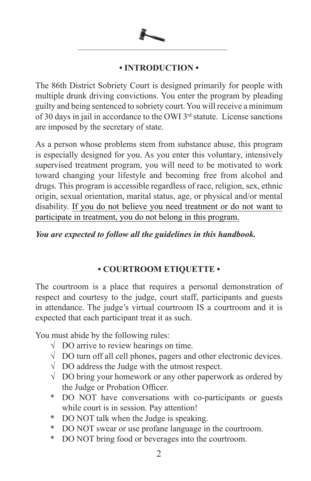

# **• INTRODUCTION •**

The 86th District Sobriety Court is designed primarily for people with multiple drunk driving convictions. You enter the program by pleading guilty and being sentenced to sobriety court. You will receive a minimum of 30 days in jail in accordance to the OWI 3rd statute. License sanctions are imposed by the secretary of state.

As a person whose problems stem from substance abuse, this program is especially designed for you. As you enter this voluntary, intensively supervised treatment program, you will need to be motivated to work toward changing your lifestyle and becoming free from alcohol and drugs. This program is accessible regardless of race, religion, sex, ethnic origin, sexual orientation, marital status, age, or physical and/or mental disability. If you do not believe you need treatment or do not want to participate in treatment, you do not belong in this program.

# *You are expected to follow all the guidelines in this handbook.*

# **• COURTROOM ETIQUETTE •**

The courtroom is a place that requires a personal demonstration of respect and courtesy to the judge, court staff, participants and guests in attendance. The judge's virtual courtroom IS a courtroom and it is expected that each participant treat it as such.

You must abide by the following rules:

- $\sqrt{ }$  DO arrive to review hearings on time.
- √ DO turn off all cell phones, pagers and other electronic devices.
- $\sqrt{\phantom{a}}$  DO address the Judge with the utmost respect.
- √ DO bring your homework or any other paperwork as ordered by the Judge or Probation Officer.
- \* DO NOT have conversations with co-participants or guests while court is in session. Pay attention!
- \* DO NOT talk when the Judge is speaking.
- \* DO NOT swear or use profane language in the courtroom.
- \* DO NOT bring food or beverages into the courtroom.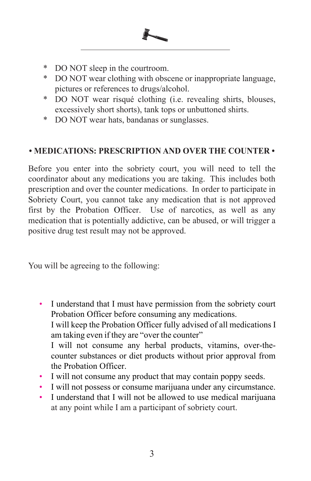- \* DO NOT sleep in the courtroom.
- \* DO NOT wear clothing with obscene or inappropriate language, pictures or references to drugs/alcohol.
- \* DO NOT wear risqué clothing (i.e. revealing shirts, blouses, excessively short shorts), tank tops or unbuttoned shirts.
- \* DO NOT wear hats, bandanas or sunglasses.

# **• MEDICATIONS: PRESCRIPTION AND OVER THE COUNTER •**

Before you enter into the sobriety court, you will need to tell the coordinator about any medications you are taking. This includes both prescription and over the counter medications. In order to participate in Sobriety Court, you cannot take any medication that is not approved first by the Probation Officer. Use of narcotics, as well as any medication that is potentially addictive, can be abused, or will trigger a positive drug test result may not be approved.

You will be agreeing to the following:

- I understand that I must have permission from the sobriety court Probation Officer before consuming any medications. I will keep the Probation Officer fully advised of all medications I am taking even if they are "over the counter" I will not consume any herbal products, vitamins, over-thecounter substances or diet products without prior approval from the Probation Officer.
- I will not consume any product that may contain poppy seeds.
- I will not possess or consume marijuana under any circumstance.
- I understand that I will not be allowed to use medical marijuana at any point while I am a participant of sobriety court.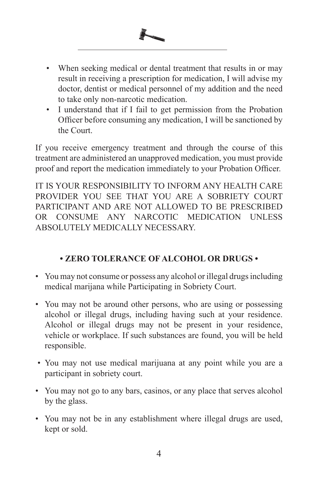

- When seeking medical or dental treatment that results in or may result in receiving a prescription for medication, I will advise my doctor, dentist or medical personnel of my addition and the need to take only non-narcotic medication.
- I understand that if I fail to get permission from the Probation Officer before consuming any medication, I will be sanctioned by the Court.

If you receive emergency treatment and through the course of this treatment are administered an unapproved medication, you must provide proof and report the medication immediately to your Probation Officer.

IT IS YOUR RESPONSIBILITY TO INFORM ANY HEALTH CARE PROVIDER YOU SEE THAT YOU ARE A SOBRIETY COURT PARTICIPANT AND ARE NOT ALLOWED TO BE PRESCRIBED OR CONSUME ANY NARCOTIC MEDICATION UNLESS ABSOLUTELY MEDICALLY NECESSARY.

# **• ZERO TOLERANCE OF ALCOHOL OR DRUGS •**

- You may not consume or possess any alcohol or illegal drugs including medical marijana while Participating in Sobriety Court.
- You may not be around other persons, who are using or possessing alcohol or illegal drugs, including having such at your residence. Alcohol or illegal drugs may not be present in your residence, vehicle or workplace. If such substances are found, you will be held responsible.
- You may not use medical marijuana at any point while you are a participant in sobriety court.
- You may not go to any bars, casinos, or any place that serves alcohol by the glass.
- You may not be in any establishment where illegal drugs are used, kept or sold.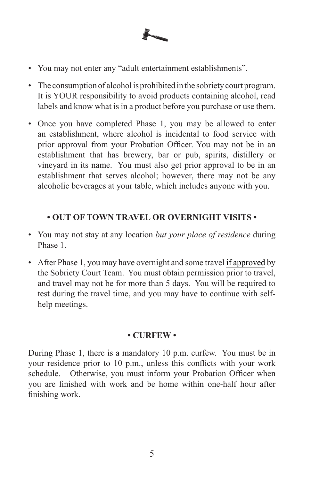

- The consumption of alcohol is prohibited in the sobriety court program. It is YOUR responsibility to avoid products containing alcohol, read labels and know what is in a product before you purchase or use them.
- Once you have completed Phase 1, you may be allowed to enter an establishment, where alcohol is incidental to food service with prior approval from your Probation Officer. You may not be in an establishment that has brewery, bar or pub, spirits, distillery or vineyard in its name. You must also get prior approval to be in an establishment that serves alcohol; however, there may not be any alcoholic beverages at your table, which includes anyone with you.

# **• OUT OF TOWN TRAVEL OR OVERNIGHT VISITS •**

- You may not stay at any location *but your place of residence* during Phase 1.
- After Phase 1, you may have overnight and some travel if approved by the Sobriety Court Team. You must obtain permission prior to travel, and travel may not be for more than 5 days. You will be required to test during the travel time, and you may have to continue with selfhelp meetings.

### **• CURFEW •**

During Phase 1, there is a mandatory 10 p.m. curfew. You must be in your residence prior to 10 p.m., unless this conflicts with your work schedule. Otherwise, you must inform your Probation Officer when you are finished with work and be home within one-half hour after finishing work.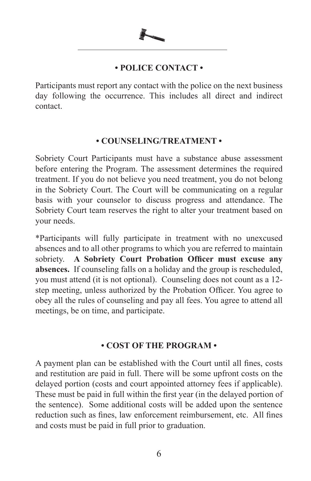

# **• POLICE CONTACT •**

Participants must report any contact with the police on the next business day following the occurrence. This includes all direct and indirect contact.

### **• COUNSELING/TREATMENT •**

Sobriety Court Participants must have a substance abuse assessment before entering the Program. The assessment determines the required treatment. If you do not believe you need treatment, you do not belong in the Sobriety Court. The Court will be communicating on a regular basis with your counselor to discuss progress and attendance. The Sobriety Court team reserves the right to alter your treatment based on your needs.

\*Participants will fully participate in treatment with no unexcused absences and to all other programs to which you are referred to maintain sobriety. **A Sobriety Court Probation Officer must excuse any absences.** If counseling falls on a holiday and the group is rescheduled, you must attend (it is not optional). Counseling does not count as a 12 step meeting, unless authorized by the Probation Officer. You agree to obey all the rules of counseling and pay all fees. You agree to attend all meetings, be on time, and participate.

# **• COST OF THE PROGRAM •**

A payment plan can be established with the Court until all fines, costs and restitution are paid in full. There will be some upfront costs on the delayed portion (costs and court appointed attorney fees if applicable). These must be paid in full within the first year (in the delayed portion of the sentence). Some additional costs will be added upon the sentence reduction such as fines, law enforcement reimbursement, etc. All fines and costs must be paid in full prior to graduation.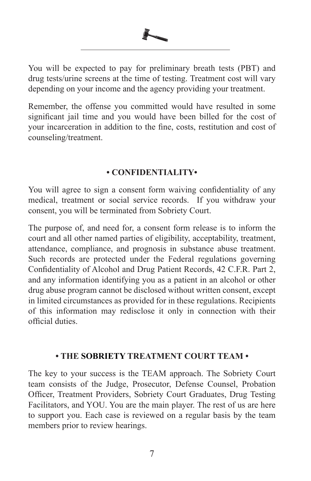

You will be expected to pay for preliminary breath tests (PBT) and drug tests/urine screens at the time of testing. Treatment cost will vary depending on your income and the agency providing your treatment.

Remember, the offense you committed would have resulted in some significant jail time and you would have been billed for the cost of your incarceration in addition to the fine, costs, restitution and cost of counseling/treatment.

# **• CONFIDENTIALITY•**

You will agree to sign a consent form waiving confidentiality of any medical, treatment or social service records. If you withdraw your consent, you will be terminated from Sobriety Court.

The purpose of, and need for, a consent form release is to inform the court and all other named parties of eligibility, acceptability, treatment, attendance, compliance, and prognosis in substance abuse treatment. Such records are protected under the Federal regulations governing Confidentiality of Alcohol and Drug Patient Records, 42 C.F.R. Part 2, and any information identifying you as a patient in an alcohol or other drug abuse program cannot be disclosed without written consent, except in limited circumstances as provided for in these regulations. Recipients of this information may redisclose it only in connection with their official duties.

# **• THE SOBRIETY TREATMENT COURT TEAM •**

The key to your success is the TEAM approach. The Sobriety Court team consists of the Judge, Prosecutor, Defense Counsel, Probation Officer, Treatment Providers, Sobriety Court Graduates, Drug Testing Facilitators, and YOU. You are the main player. The rest of us are here to support you. Each case is reviewed on a regular basis by the team members prior to review hearings.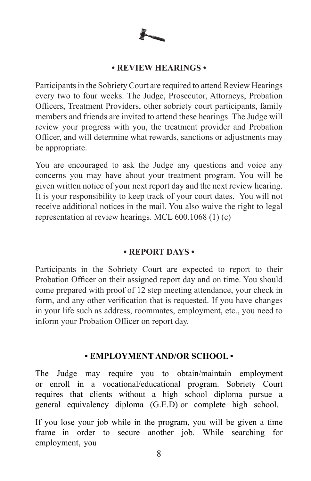

### **• REVIEW HEARINGS •**

Participants in the Sobriety Court are required to attend Review Hearings every two to four weeks. The Judge, Prosecutor, Attorneys, Probation Officers, Treatment Providers, other sobriety court participants, family members and friends are invited to attend these hearings. The Judge will review your progress with you, the treatment provider and Probation Officer, and will determine what rewards, sanctions or adjustments may be appropriate.

You are encouraged to ask the Judge any questions and voice any concerns you may have about your treatment program. You will be given written notice of your next report day and the next review hearing. It is your responsibility to keep track of your court dates. You will not receive additional notices in the mail. You also waive the right to legal representation at review hearings. MCL 600.1068 (1) (c)

# **• REPORT DAYS •**

Participants in the Sobriety Court are expected to report to their Probation Officer on their assigned report day and on time. You should come prepared with proof of 12 step meeting attendance, your check in form, and any other verification that is requested. If you have changes in your life such as address, roommates, employment, etc., you need to inform your Probation Officer on report day.

# **• EMPLOYMENT AND/OR SCHOOL •**

The Judge may require you to obtain/maintain employment or enroll in a vocational/educational program. Sobriety Court requires that clients without a high school diploma pursue a general equivalency diploma (G.E.D) or complete high school.

If you lose your job while in the program, you will be given a time frame in order to secure another job. While searching for employment, you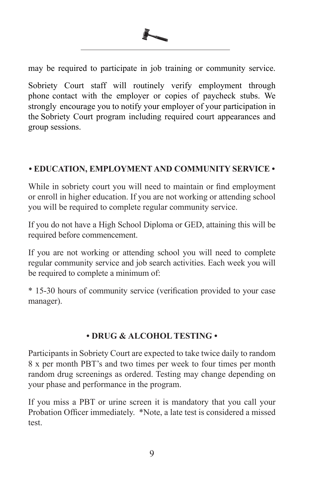

may be required to participate in job training or community service.

Sobriety Court staff will routinely verify employment through phone contact with the employer or copies of paycheck stubs. We strongly encourage you to notify your employer of your participation in the Sobriety Court program including required court appearances and group sessions.

# **• EDUCATION, EMPLOYMENT AND COMMUNITY SERVICE •**

While in sobriety court you will need to maintain or find employment or enroll in higher education. If you are not working or attending school you will be required to complete regular community service.

If you do not have a High School Diploma or GED, attaining this will be required before commencement.

If you are not working or attending school you will need to complete regular community service and job search activities. Each week you will be required to complete a minimum of:

\* 15-30 hours of community service (verification provided to your case manager).

# **• DRUG & ALCOHOL TESTING •**

Participants in Sobriety Court are expected to take twice daily to random 8 x per month PBT's and two times per week to four times per month random drug screenings as ordered. Testing may change depending on your phase and performance in the program.

If you miss a PBT or urine screen it is mandatory that you call your Probation Officer immediately. \*Note, a late test is considered a missed test.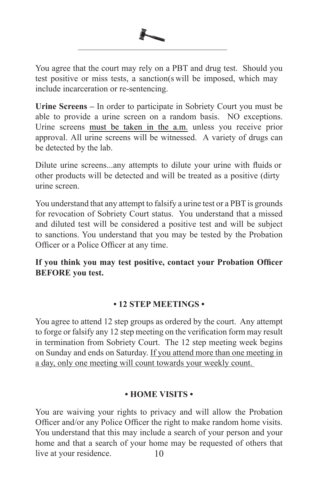

You agree that the court may rely on a PBT and drug test. Should you test positive or miss tests, a sanction(s will be imposed, which may include incarceration or re-sentencing.

**Urine Screens –** In order to participate in Sobriety Court you must be able to provide a urine screen on a random basis. NO exceptions. Urine screens must be taken in the a.m. unless you receive prior approval. All urine screens will be witnessed. A variety of drugs can be detected by the lab.

Dilute urine screens...any attempts to dilute your urine with fluids or other products will be detected and will be treated as a positive (dirty urine screen.

You understand that any attempt to falsify a urine test or a PBT is grounds for revocation of Sobriety Court status. You understand that a missed and diluted test will be considered a positive test and will be subject to sanctions. You understand that you may be tested by the Probation Officer or a Police Officer at any time.

**If you think you may test positive, contact your Probation Officer BEFORE you test.** 

# **• 12 STEP MEETINGS •**

You agree to attend 12 step groups as ordered by the court. Any attempt to forge or falsify any 12 step meeting on the verification form may result in termination from Sobriety Court. The 12 step meeting week begins on Sunday and ends on Saturday. If you attend more than one meeting in a day, only one meeting will count towards your weekly count.

# **• HOME VISITS •**

10 You are waiving your rights to privacy and will allow the Probation Officer and/or any Police Officer the right to make random home visits. You understand that this may include a search of your person and your home and that a search of your home may be requested of others that live at your residence.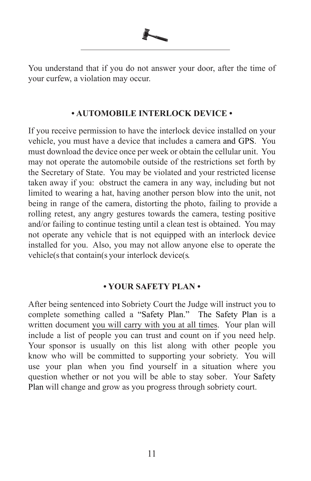

### **• AUTOMOBILE INTERLOCK DEVICE •**

If you receive permission to have the interlock device installed on your vehicle, you must have a device that includes a camera and GPS. You must download the device once per week or obtain the cellular unit. You may not operate the automobile outside of the restrictions set forth by the Secretary of State. You may be violated and your restricted license taken away if you: obstruct the camera in any way, including but not limited to wearing a hat, having another person blow into the unit, not being in range of the camera, distorting the photo, failing to provide a rolling retest, any angry gestures towards the camera, testing positive and/or failing to continue testing until a clean test is obtained. You may not operate any vehicle that is not equipped with an interlock device installed for you. Also, you may not allow anyone else to operate the vehicle(s that contain(s your interlock device(s.

### **• YOUR SAFETY PLAN •**

After being sentenced into Sobriety Court the Judge will instruct you to complete something called a "Safety Plan." The Safety Plan is a written document you will carry with you at all times. Your plan will include a list of people you can trust and count on if you need help. Your sponsor is usually on this list along with other people you know who will be committed to supporting your sobriety. You will use your plan when you find yourself in a situation where you question whether or not you will be able to stay sober. Your Safety Plan will change and grow as you progress through sobriety court.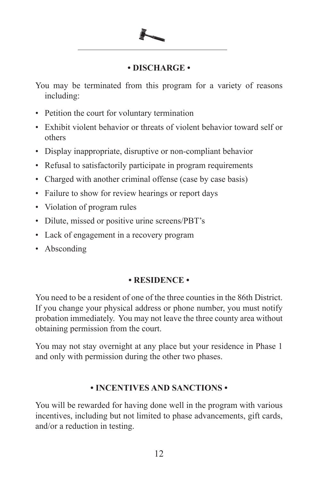# **• DISCHARGE •**

You may be terminated from this program for a variety of reasons including:

- Petition the court for voluntary termination
- Exhibit violent behavior or threats of violent behavior toward self or others
- Display inappropriate, disruptive or non-compliant behavior
- Refusal to satisfactorily participate in program requirements
- Charged with another criminal offense (case by case basis)
- Failure to show for review hearings or report days
- Violation of program rules
- Dilute, missed or positive urine screens/PBT's
- Lack of engagement in a recovery program
- Absconding

# **• RESIDENCE •**

You need to be a resident of one of the three counties in the 86th District. If you change your physical address or phone number, you must notify probation immediately. You may not leave the three county area without obtaining permission from the court.

You may not stay overnight at any place but your residence in Phase 1 and only with permission during the other two phases.

# **• INCENTIVES AND SANCTIONS •**

You will be rewarded for having done well in the program with various incentives, including but not limited to phase advancements, gift cards, and/or a reduction in testing.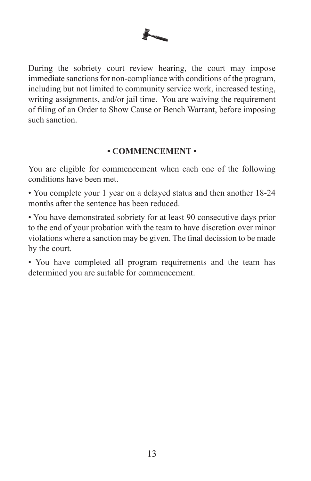

During the sobriety court review hearing, the court may impose immediate sanctions for non-compliance with conditions of the program, including but not limited to community service work, increased testing, writing assignments, and/or jail time. You are waiving the requirement of filing of an Order to Show Cause or Bench Warrant, before imposing such sanction.

# **• COMMENCEMENT •**

You are eligible for commencement when each one of the following conditions have been met.

• You complete your 1 year on a delayed status and then another 18-24 months after the sentence has been reduced.

• You have demonstrated sobriety for at least 90 consecutive days prior to the end of your probation with the team to have discretion over minor violations where a sanction may be given. The final decission to be made by the court.

• You have completed all program requirements and the team has determined you are suitable for commencement.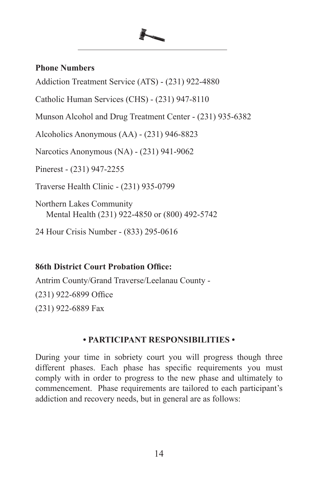# **Phone Numbers**

Addiction Treatment Service (ATS) - (231) 922-4880

Catholic Human Services (CHS) - (231) 947-8110

Munson Alcohol and Drug Treatment Center - (231) 935-6382

Alcoholics Anonymous (AA) - (231) 946-8823

Narcotics Anonymous (NA) - (231) 941-9062

Pinerest - (231) 947-2255

Traverse Health Clinic - (231) 935-0799

Northern Lakes Community Mental Health (231) 922-4850 or (800) 492-5742

24 Hour Crisis Number - (833) 295-0616

# **86th District Court Probation Office:**

Antrim County/Grand Traverse/Leelanau County - (231) 922-6899 Office (231) 922-6889 Fax

# **• PARTICIPANT RESPONSIBILITIES •**

During your time in sobriety court you will progress though three different phases. Each phase has specific requirements you must comply with in order to progress to the new phase and ultimately to commencement. Phase requirements are tailored to each participant's addiction and recovery needs, but in general are as follows: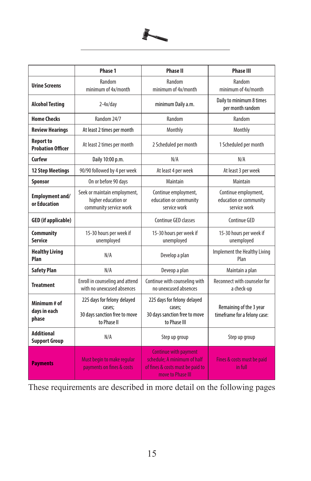

|                                           | Phase 1                                                                               | <b>Phase II</b>                                                                                                      | <b>Phase III</b>                                               |
|-------------------------------------------|---------------------------------------------------------------------------------------|----------------------------------------------------------------------------------------------------------------------|----------------------------------------------------------------|
| <b>Urine Screens</b>                      | Random<br>minimum of 4x/month                                                         | Random<br>minimum of 4x/month                                                                                        | Random<br>minimum of 4x/month                                  |
| <b>Alcohol Testing</b>                    | $2-4x/day$                                                                            | minimum Daily a.m.                                                                                                   | Daily to minimum 8 times<br>per month random                   |
| <b>Home Checks</b>                        | Random 24/7                                                                           | Random                                                                                                               | Random                                                         |
| <b>Review Hearings</b>                    | At least 2 times per month                                                            | Monthly                                                                                                              | Monthly                                                        |
| Report to<br><b>Probation Officer</b>     | At least 2 times per month                                                            | 2 Scheduled per month                                                                                                | 1 Scheduled per month                                          |
| Curfew                                    | Daily 10:00 p.m.                                                                      | N/A                                                                                                                  | N/A                                                            |
| <b>12 Step Meetings</b>                   | 90/90 followed by 4 per week                                                          | At least 4 per week                                                                                                  | At least 3 per week                                            |
| Sponsor                                   | On or before 90 days                                                                  | Maintain                                                                                                             | Maintain                                                       |
| Employment and/<br>or Education           | Seek or maintain employment,<br>higher education or<br>community service work         | Continue employment,<br>education or community<br>service work                                                       | Continue employment,<br>education or community<br>service work |
| <b>GED</b> (if applicable)                |                                                                                       | Continue GED classes                                                                                                 | Continue GED                                                   |
| <b>Community</b><br>Service               | 15-30 hours per week if<br>unemployed                                                 | 15-30 hours per week if<br>unemployed                                                                                | 15-30 hours per week if<br>unemployed                          |
| <b>Healthy Living</b><br>Plan             | N/A                                                                                   | Develop a plan                                                                                                       | Implement the Healthy Living<br>Plan                           |
| <b>Safety Plan</b>                        | N/A                                                                                   | Deveop a plan                                                                                                        | Maintain a plan                                                |
| <b>Treatment</b>                          | Enroll in counseling and attend<br>with no unexcused absences                         | Continue with counseling with<br>no unexcused absences                                                               | Reconnect with counselor for<br>a check-up                     |
| Minimum # of<br>days in each<br>phase     | 225 days for felony delayed<br>cases;<br>30 days sanction free to move<br>to Phase II | 225 days for felony delayed<br>cases;<br>30 days sanction free to move<br>to Phase III                               | Remaining of the 3 year<br>timeframe for a felony case:        |
| <b>Additional</b><br><b>Support Group</b> | N/A                                                                                   | Step up group                                                                                                        | Step up group                                                  |
| <b>Payments</b>                           | Must begin to make regular<br>payments on fines & costs                               | <b>Continue with payment</b><br>schedule: A minimum of half<br>of fines & costs must be paid to<br>move to Phase III | Fines & costs must be paid<br>in full                          |

These requirements are described in more detail on the following pages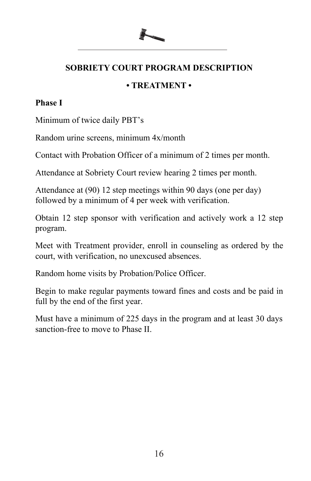# **SOBRIETY COURT PROGRAM DESCRIPTION**

# **• TREATMENT •**

# **Phase I**

Minimum of twice daily PBT's

Random urine screens, minimum 4x/month

Contact with Probation Officer of a minimum of 2 times per month.

Attendance at Sobriety Court review hearing 2 times per month.

Attendance at (90) 12 step meetings within 90 days (one per day) followed by a minimum of 4 per week with verification.

Obtain 12 step sponsor with verification and actively work a 12 step program.

Meet with Treatment provider, enroll in counseling as ordered by the court, with verification, no unexcused absences.

Random home visits by Probation/Police Officer.

Begin to make regular payments toward fines and costs and be paid in full by the end of the first year.

Must have a minimum of 225 days in the program and at least 30 days sanction-free to move to Phase II.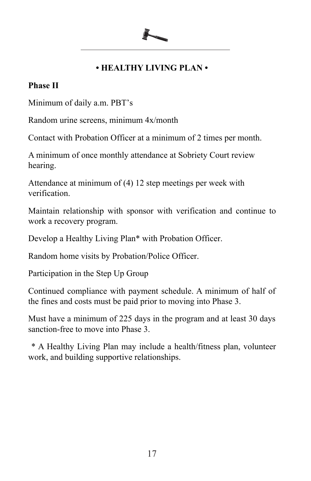# **• HEALTHY LIVING PLAN •**

# **Phase II**

Minimum of daily a.m. PBT's

Random urine screens, minimum 4x/month

Contact with Probation Officer at a minimum of 2 times per month.

A minimum of once monthly attendance at Sobriety Court review hearing.

Attendance at minimum of (4) 12 step meetings per week with verification.

Maintain relationship with sponsor with verification and continue to work a recovery program.

Develop a Healthy Living Plan\* with Probation Officer.

Random home visits by Probation/Police Officer.

Participation in the Step Up Group

Continued compliance with payment schedule. A minimum of half of the fines and costs must be paid prior to moving into Phase 3.

Must have a minimum of 225 days in the program and at least 30 days sanction-free to move into Phase 3.

\* A Healthy Living Plan may include a health/fitness plan, volunteer work, and building supportive relationships.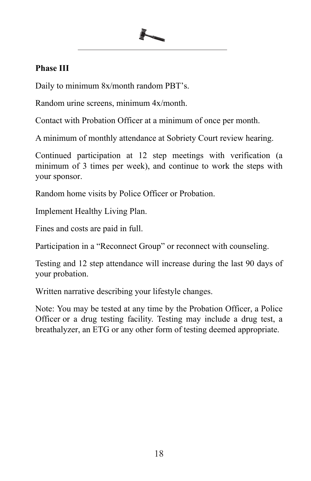# **Phase III**

Daily to minimum 8x/month random PBT's.

Random urine screens, minimum 4x/month.

Contact with Probation Officer at a minimum of once per month.

A minimum of monthly attendance at Sobriety Court review hearing.

Continued participation at 12 step meetings with verification (a minimum of 3 times per week), and continue to work the steps with your sponsor.

Random home visits by Police Officer or Probation.

Implement Healthy Living Plan.

Fines and costs are paid in full.

Participation in a "Reconnect Group" or reconnect with counseling.

Testing and 12 step attendance will increase during the last 90 days of your probation.

Written narrative describing your lifestyle changes.

Note: You may be tested at any time by the Probation Officer, a Police Officer or a drug testing facility. Testing may include a drug test, a breathalyzer, an ETG or any other form of testing deemed appropriate.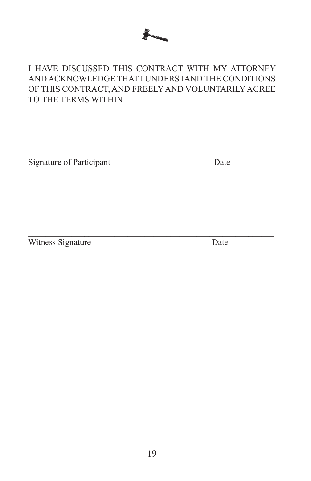

# I HAVE DISCUSSED THIS CONTRACT WITH MY ATTORNEY AND ACKNOWLEDGE THAT I UNDERSTAND THE CONDITIONS OF THIS CONTRACT, AND FREELY AND VOLUNTARILY AGREE TO THE TERMS WITHIN

 $\mathcal{L}_\text{max} = \mathcal{L}_\text{max} = \mathcal{L}_\text{max} = \mathcal{L}_\text{max} = \mathcal{L}_\text{max} = \mathcal{L}_\text{max} = \mathcal{L}_\text{max} = \mathcal{L}_\text{max} = \mathcal{L}_\text{max} = \mathcal{L}_\text{max} = \mathcal{L}_\text{max} = \mathcal{L}_\text{max} = \mathcal{L}_\text{max} = \mathcal{L}_\text{max} = \mathcal{L}_\text{max} = \mathcal{L}_\text{max} = \mathcal{L}_\text{max} = \mathcal{L}_\text{max} = \mathcal{$ 

 $\mathcal{L}_\text{max} = \mathcal{L}_\text{max} = \mathcal{L}_\text{max} = \mathcal{L}_\text{max} = \mathcal{L}_\text{max} = \mathcal{L}_\text{max} = \mathcal{L}_\text{max} = \mathcal{L}_\text{max} = \mathcal{L}_\text{max} = \mathcal{L}_\text{max} = \mathcal{L}_\text{max} = \mathcal{L}_\text{max} = \mathcal{L}_\text{max} = \mathcal{L}_\text{max} = \mathcal{L}_\text{max} = \mathcal{L}_\text{max} = \mathcal{L}_\text{max} = \mathcal{L}_\text{max} = \mathcal{$ 

Signature of Participant Date

Witness Signature Date